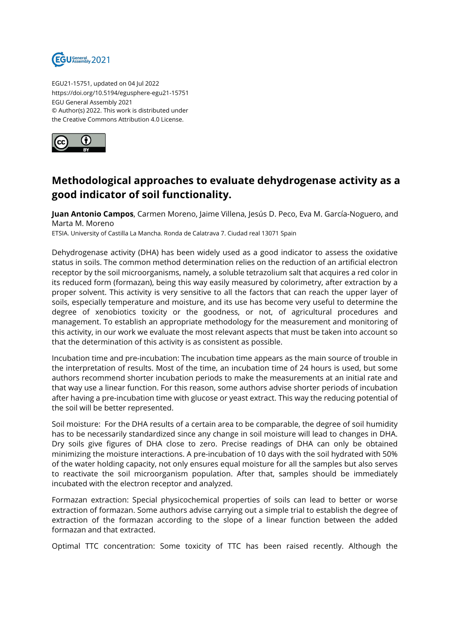

EGU21-15751, updated on 04 Jul 2022 https://doi.org/10.5194/egusphere-egu21-15751 EGU General Assembly 2021 © Author(s) 2022. This work is distributed under the Creative Commons Attribution 4.0 License.



## **Methodological approaches to evaluate dehydrogenase activity as a good indicator of soil functionality.**

**Juan Antonio Campos**, Carmen Moreno, Jaime Villena, Jesús D. Peco, Eva M. García-Noguero, and Marta M. Moreno

ETSIA. University of Castilla La Mancha. Ronda de Calatrava 7. Ciudad real 13071 Spain

Dehydrogenase activity (DHA) has been widely used as a good indicator to assess the oxidative status in soils. The common method determination relies on the reduction of an artificial electron receptor by the soil microorganisms, namely, a soluble tetrazolium salt that acquires a red color in its reduced form (formazan), being this way easily measured by colorimetry, after extraction by a proper solvent. This activity is very sensitive to all the factors that can reach the upper layer of soils, especially temperature and moisture, and its use has become very useful to determine the degree of xenobiotics toxicity or the goodness, or not, of agricultural procedures and management. To establish an appropriate methodology for the measurement and monitoring of this activity, in our work we evaluate the most relevant aspects that must be taken into account so that the determination of this activity is as consistent as possible.

Incubation time and pre-incubation: The incubation time appears as the main source of trouble in the interpretation of results. Most of the time, an incubation time of 24 hours is used, but some authors recommend shorter incubation periods to make the measurements at an initial rate and that way use a linear function. For this reason, some authors advise shorter periods of incubation after having a pre-incubation time with glucose or yeast extract. This way the reducing potential of the soil will be better represented.

Soil moisture: For the DHA results of a certain area to be comparable, the degree of soil humidity has to be necessarily standardized since any change in soil moisture will lead to changes in DHA. Dry soils give figures of DHA close to zero. Precise readings of DHA can only be obtained minimizing the moisture interactions. A pre-incubation of 10 days with the soil hydrated with 50% of the water holding capacity, not only ensures equal moisture for all the samples but also serves to reactivate the soil microorganism population. After that, samples should be immediately incubated with the electron receptor and analyzed.

Formazan extraction: Special physicochemical properties of soils can lead to better or worse extraction of formazan. Some authors advise carrying out a simple trial to establish the degree of extraction of the formazan according to the slope of a linear function between the added formazan and that extracted.

Optimal TTC concentration: Some toxicity of TTC has been raised recently. Although the